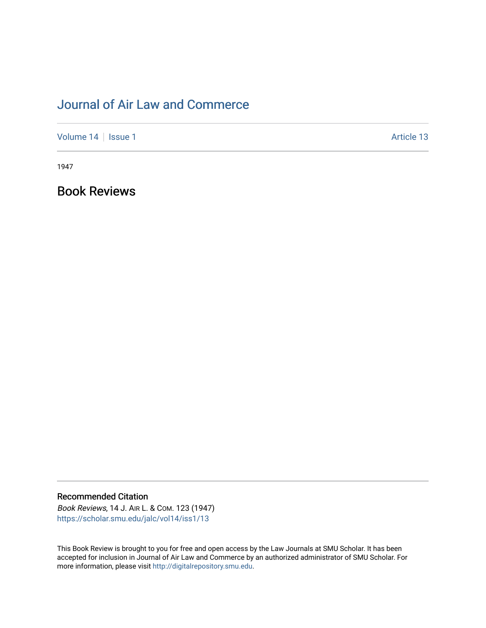## [Journal of Air Law and Commerce](https://scholar.smu.edu/jalc)

[Volume 14](https://scholar.smu.edu/jalc/vol14) | [Issue 1](https://scholar.smu.edu/jalc/vol14/iss1) Article 13

1947

Book Reviews

Recommended Citation

Book Reviews, 14 J. AIR L. & COM. 123 (1947) [https://scholar.smu.edu/jalc/vol14/iss1/13](https://scholar.smu.edu/jalc/vol14/iss1/13?utm_source=scholar.smu.edu%2Fjalc%2Fvol14%2Fiss1%2F13&utm_medium=PDF&utm_campaign=PDFCoverPages)

This Book Review is brought to you for free and open access by the Law Journals at SMU Scholar. It has been accepted for inclusion in Journal of Air Law and Commerce by an authorized administrator of SMU Scholar. For more information, please visit [http://digitalrepository.smu.edu](http://digitalrepository.smu.edu/).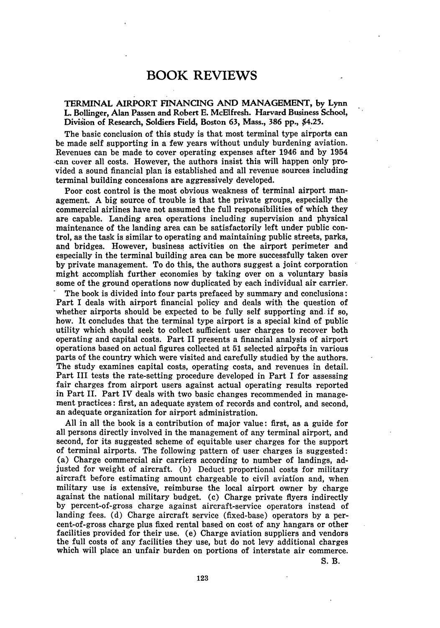## BOOK REVIEWS

TERMINAL AIRPORT FINANCING AND MANAGEMENT, **by** Lynn L. Bollinger, Alan Passen and Robert **E.** McElfresh. Harvard Business School, Division of Research, Soldiers Field, Boston 63, Mass., 386 pp., \$4.25.

The basic conclusion of this study is that most terminal type airports can be made self supporting in a few years without unduly burdening aviation. Revenues can be made to cover operating expenses after 1946 and **by** 1954 can cover all costs. However, the authors insist this will happen only provided a sound financial plan is established and all revenue sources including terminal building concessions are aggressively developed.

Poor cost control is the most obvious weakness of terminal airport management. A big source of trouble is that the private groups, especially the commercial airlines have not assumed the full responsibilities of which they are capable. Landing area operations including supervision and physical maintenance of the landing area can be satisfactorily left under public control, as the task is similar to operating and maintaining public streets, parks, and bridges. However, business activities on the airport perimeter and especially in the terminal building area can be more successfully taken over **by** private management. To do this, the authors suggest a joint corporation might accomplish further economies **by** taking over on a voluntary basis some of the ground operations now duplicated **by** each individual air carrier.

The book is divided into four parts prefaced **by** summary and conclusions: Part I deals with airport financial policy and deals with the question of whether airports should be expected to be fully self supporting and if so, how. It concludes that the terminal type airport is a special kind of public utility which should seek to collect sufficient user charges to recover both operating and capital costs. Part II presents a financial analysis of airport operations based on actual figures collected at **51** selected airports in various parts of the country which were visited and carefully studied **by** the authors. The study examines capital costs, operating costs, and revenues in detail. Part III tests the rate-setting procedure developed in Part I for assessing fair charges from airport users against actual operating results reported in Part II. Part IV deals with two basic changes recommended in management practices: first, an adequate system of records and control, and second, an adequate organization for airport administration.

**All** in all the book is a contribution of major value: first, as a guide for all persons directly involved in the management of any terminal airport, and second, for its suggested scheme of equitable user charges for the support of terminal airports. The following pattern of user charges is suggested: (a) Charge commercial air carriers according to number of landings, adjusted for weight of aircraft. **(b)** Deduct proportional costs for military aircraft before estimating amount chargeable to civil aviation and, when military use is extensive, reimburse the local airport owner **by** charge against the national military budget. **(c)** Charge private flyers indirectly **by** percent-of-gross charge against aircraft-service operators instead of landing fees. **(d)** Charge aircraft service (fixed-base) operators **by** a percent-of-gross charge plus fixed rental based on cost of any hangars or other facilities provided for their use. (e) Charge aviation suppliers and vendors the full costs of any facilities they use, but do not levy additional charges which will place an unfair burden on portions of interstate air commerce.

**S.** B.